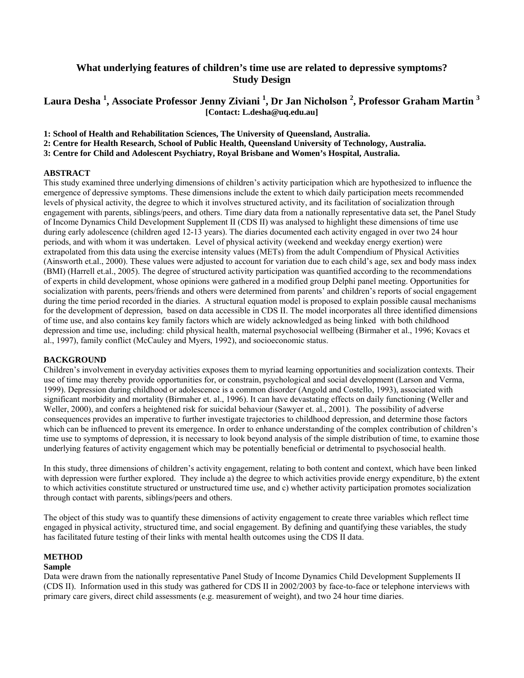## **What underlying features of children's time use are related to depressive symptoms? Study Design**

## **Laura Desha <sup>1</sup> , Associate Professor Jenny Ziviani 1 , Dr Jan Nicholson <sup>2</sup> , Professor Graham Martin 3 [Contact: L.desha@uq.edu.au]**

**1: School of Health and Rehabilitation Sciences, The University of Queensland, Australia.** 

**2: Centre for Health Research, School of Public Health, Queensland University of Technology, Australia.** 

**3: Centre for Child and Adolescent Psychiatry, Royal Brisbane and Women's Hospital, Australia.** 

#### **ABSTRACT**

This study examined three underlying dimensions of children's activity participation which are hypothesized to influence the emergence of depressive symptoms. These dimensions include the extent to which daily participation meets recommended levels of physical activity, the degree to which it involves structured activity, and its facilitation of socialization through engagement with parents, siblings/peers, and others. Time diary data from a nationally representative data set, the Panel Study of Income Dynamics Child Development Supplement II (CDS II) was analysed to highlight these dimensions of time use during early adolescence (children aged 12-13 years). The diaries documented each activity engaged in over two 24 hour periods, and with whom it was undertaken. Level of physical activity (weekend and weekday energy exertion) were extrapolated from this data using the exercise intensity values (METs) from the adult Compendium of Physical Activities (Ainsworth et.al., 2000). These values were adjusted to account for variation due to each child's age, sex and body mass index (BMI) (Harrell et.al., 2005). The degree of structured activity participation was quantified according to the recommendations of experts in child development, whose opinions were gathered in a modified group Delphi panel meeting. Opportunities for socialization with parents, peers/friends and others were determined from parents' and children's reports of social engagement during the time period recorded in the diaries. A structural equation model is proposed to explain possible causal mechanisms for the development of depression, based on data accessible in CDS II. The model incorporates all three identified dimensions of time use, and also contains key family factors which are widely acknowledged as being linked with both childhood depression and time use, including: child physical health, maternal psychosocial wellbeing (Birmaher et al., 1996; Kovacs et al., 1997), family conflict (McCauley and Myers, 1992), and socioeconomic status.

#### **BACKGROUND**

Children's involvement in everyday activities exposes them to myriad learning opportunities and socialization contexts. Their use of time may thereby provide opportunities for, or constrain, psychological and social development (Larson and Verma, 1999). Depression during childhood or adolescence is a common disorder (Angold and Costello, 1993), associated with significant morbidity and mortality (Birmaher et. al., 1996). It can have devastating effects on daily functioning (Weller and Weller, 2000), and confers a heightened risk for suicidal behaviour (Sawyer et. al., 2001). The possibility of adverse consequences provides an imperative to further investigate trajectories to childhood depression, and determine those factors which can be influenced to prevent its emergence. In order to enhance understanding of the complex contribution of children's time use to symptoms of depression, it is necessary to look beyond analysis of the simple distribution of time, to examine those underlying features of activity engagement which may be potentially beneficial or detrimental to psychosocial health.

In this study, three dimensions of children's activity engagement, relating to both content and context, which have been linked with depression were further explored. They include a) the degree to which activities provide energy expenditure, b) the extent to which activities constitute structured or unstructured time use, and c) whether activity participation promotes socialization through contact with parents, siblings/peers and others.

The object of this study was to quantify these dimensions of activity engagement to create three variables which reflect time engaged in physical activity, structured time, and social engagement. By defining and quantifying these variables, the study has facilitated future testing of their links with mental health outcomes using the CDS II data.

#### **METHOD**

#### **Sample**

Data were drawn from the nationally representative Panel Study of Income Dynamics Child Development Supplements II (CDS II). Information used in this study was gathered for CDS II in 2002/2003 by face-to-face or telephone interviews with primary care givers, direct child assessments (e.g. measurement of weight), and two 24 hour time diaries.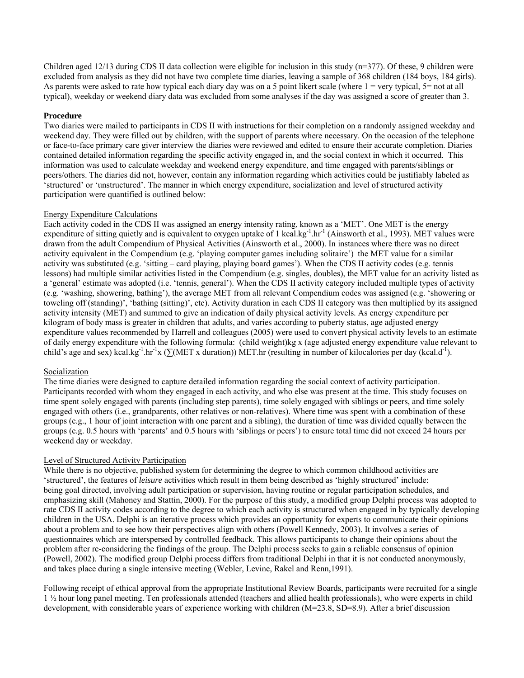Children aged 12/13 during CDS II data collection were eligible for inclusion in this study (n=377). Of these, 9 children were excluded from analysis as they did not have two complete time diaries, leaving a sample of 368 children (184 boys, 184 girls). As parents were asked to rate how typical each diary day was on a 5 point likert scale (where  $1 = \text{very typical}, 5 = \text{not at all}$ ) typical), weekday or weekend diary data was excluded from some analyses if the day was assigned a score of greater than 3.

#### **Procedure**

Two diaries were mailed to participants in CDS II with instructions for their completion on a randomly assigned weekday and weekend day. They were filled out by children, with the support of parents where necessary. On the occasion of the telephone or face-to-face primary care giver interview the diaries were reviewed and edited to ensure their accurate completion. Diaries contained detailed information regarding the specific activity engaged in, and the social context in which it occurred. This information was used to calculate weekday and weekend energy expenditure, and time engaged with parents/siblings or peers/others. The diaries did not, however, contain any information regarding which activities could be justifiably labeled as 'structured' or 'unstructured'. The manner in which energy expenditure, socialization and level of structured activity participation were quantified is outlined below:

#### Energy Expenditure Calculations

Each activity coded in the CDS II was assigned an energy intensity rating, known as a 'MET'. One MET is the energy expenditure of sitting quietly and is equivalent to oxygen uptake of 1 kcal.kg<sup>-1</sup>.hr<sup>-1</sup> (Ainsworth et al., 1993). MET values were drawn from the adult Compendium of Physical Activities (Ainsworth et al., 2000). In instances where there was no direct activity equivalent in the Compendium (e.g. 'playing computer games including solitaire') the MET value for a similar activity was substituted (e.g. 'sitting – card playing, playing board games'). When the CDS II activity codes (e.g. tennis lessons) had multiple similar activities listed in the Compendium (e.g. singles, doubles), the MET value for an activity listed as a 'general' estimate was adopted (i.e. 'tennis, general'). When the CDS II activity category included multiple types of activity (e.g. 'washing, showering, bathing'), the average MET from all relevant Compendium codes was assigned (e.g. 'showering or toweling off (standing)', 'bathing (sitting)', etc). Activity duration in each CDS II category was then multiplied by its assigned activity intensity (MET) and summed to give an indication of daily physical activity levels. As energy expenditure per kilogram of body mass is greater in children that adults, and varies according to puberty status, age adjusted energy expenditure values recommended by Harrell and colleagues (2005) were used to convert physical activity levels to an estimate of daily energy expenditure with the following formula: (child weight)kg x (age adjusted energy expenditure value relevant to child's age and sex) kcal.kg<sup>-1</sup>.hr<sup>-1</sup>x (∑(MET x duration)) MET.hr (resulting in number of kilocalories per day (kcal.d<sup>-1</sup>).

#### Socialization

The time diaries were designed to capture detailed information regarding the social context of activity participation. Participants recorded with whom they engaged in each activity, and who else was present at the time. This study focuses on time spent solely engaged with parents (including step parents), time solely engaged with siblings or peers, and time solely engaged with others (i.e., grandparents, other relatives or non-relatives). Where time was spent with a combination of these groups (e.g., 1 hour of joint interaction with one parent and a sibling), the duration of time was divided equally between the groups (e.g. 0.5 hours with 'parents' and 0.5 hours with 'siblings or peers') to ensure total time did not exceed 24 hours per weekend day or weekday.

#### Level of Structured Activity Participation

While there is no objective, published system for determining the degree to which common childhood activities are 'structured', the features of *leisure* activities which result in them being described as 'highly structured' include: being goal directed, involving adult participation or supervision, having routine or regular participation schedules, and emphasizing skill (Mahoney and Stattin, 2000). For the purpose of this study, a modified group Delphi process was adopted to rate CDS II activity codes according to the degree to which each activity is structured when engaged in by typically developing children in the USA. Delphi is an iterative process which provides an opportunity for experts to communicate their opinions about a problem and to see how their perspectives align with others (Powell Kennedy, 2003). It involves a series of questionnaires which are interspersed by controlled feedback. This allows participants to change their opinions about the problem after re-considering the findings of the group. The Delphi process seeks to gain a reliable consensus of opinion (Powell, 2002). The modified group Delphi process differs from traditional Delphi in that it is not conducted anonymously, and takes place during a single intensive meeting (Webler, Levine, Rakel and Renn,1991).

Following receipt of ethical approval from the appropriate Institutional Review Boards, participants were recruited for a single 1 ½ hour long panel meeting. Ten professionals attended (teachers and allied health professionals), who were experts in child development, with considerable years of experience working with children (M=23.8, SD=8.9). After a brief discussion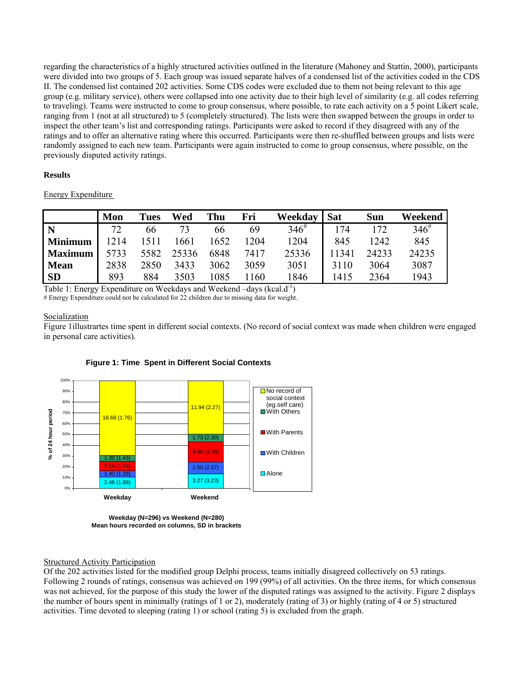regarding the characteristics of a highly structured activities outlined in the literature (Mahoney and Stattin, 2000), participants were divided into two groups of 5. Each group was issued separate halves of a condensed list of the activities coded in the CDS II. The condensed list contained 202 activities. Some CDS codes were excluded due to them not being relevant to this age group (e.g. military service), others were collapsed into one activity due to their high level of similarity (e.g. all codes referring to traveling). Teams were instructed to come to group consensus, where possible, to rate each activity on a 5 point Likert scale, ranging from 1 (not at all structured) to 5 (completely structured). The lists were then swapped between the groups in order to inspect the other team's list and corresponding ratings. Participants were asked to record if they disagreed with any of the ratings and to offer an alternative rating where this occurred. Participants were then re-shuffled between groups and lists were randomly assigned to each new team. Participants were again instructed to come to group consensus, where possible, on the previously disputed activity ratings.

#### **Results**

Energy Expenditure

|                | Mon  | Tues | Wed   | Thu  | Fri  | Weekdav    | Sat   | <b>Sun</b> | Weekend   |
|----------------|------|------|-------|------|------|------------|-------|------------|-----------|
|                | 72   | 66   |       | 66   | 69   | $346^{\#}$ | 174   | 172        | $346^{#}$ |
| <b>Minimum</b> | 1214 | 511  | .661  | 1652 | 1204 | 1204       | 845   | 1242       | 845       |
| <b>Maximum</b> | 5733 | 5582 | 25336 | 6848 | 7417 | 25336      | 11341 | 24233      | 24235     |
| <b>Mean</b>    | 2838 | 2850 | 3433  | 3062 | 3059 | 3051       | 3110  | 3064       | 3087      |
| <b>SD</b>      | 893  | 884  | 3503  | 1085 | 160  | 1846       | 1415  | 2364       | 1943      |

Table 1: Energy Expenditure on Weekdays and Weekend –days (kcal.d<sup>-1</sup>)

# Energy Expenditure could not be calculated for 22 children due to missing data for weight.

#### Socialization

Figure 1illustrartes time spent in different social contexts. (No record of social context was made when children were engaged in personal care activities).



### **Figure 1: Time Spent in Different Social Contexts**

**Weekday (N=296) vs Weekend (N=280) Mean hours recorded on columns, SD in brackets**

#### Structured Activity Participation

Of the 202 activities listed for the modified group Delphi process, teams initially disagreed collectively on 53 ratings. Following 2 rounds of ratings, consensus was achieved on 199 (99%) of all activities. On the three items, for which consensus was not achieved, for the purpose of this study the lower of the disputed ratings was assigned to the activity. Figure 2 displays the number of hours spent in minimally (ratings of 1 or 2), moderately (rating of 3) or highly (rating of 4 or 5) structured activities. Time devoted to sleeping (rating 1) or school (rating 5) is excluded from the graph.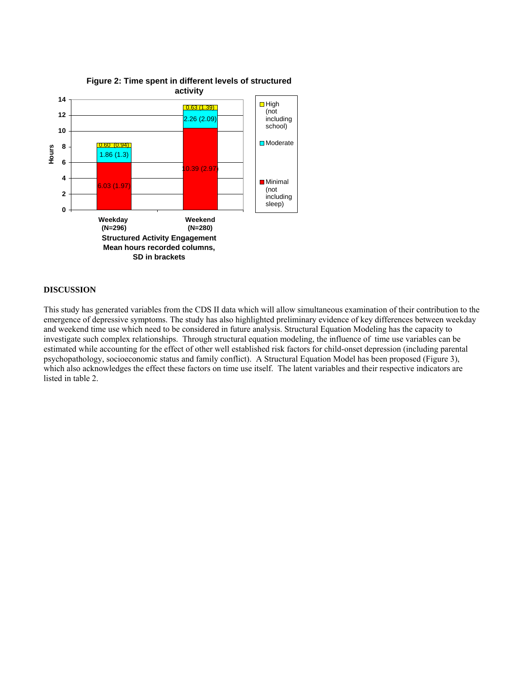

# **Figure 2: Time spent in different levels of structured**

#### **DISCUSSION**

This study has generated variables from the CDS II data which will allow simultaneous examination of their contribution to the emergence of depressive symptoms. The study has also highlighted preliminary evidence of key differences between weekday and weekend time use which need to be considered in future analysis. Structural Equation Modeling has the capacity to investigate such complex relationships. Through structural equation modeling, the influence of time use variables can be estimated while accounting for the effect of other well established risk factors for child-onset depression (including parental psychopathology, socioeconomic status and family conflict). A Structural Equation Model has been proposed (Figure 3), which also acknowledges the effect these factors on time use itself. The latent variables and their respective indicators are listed in table 2.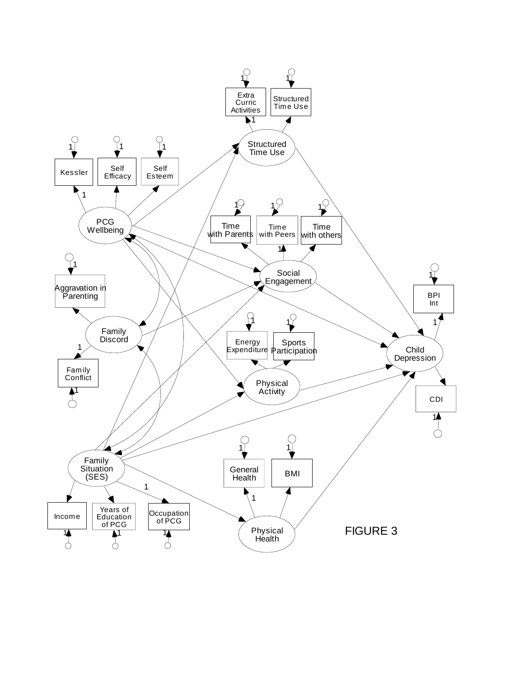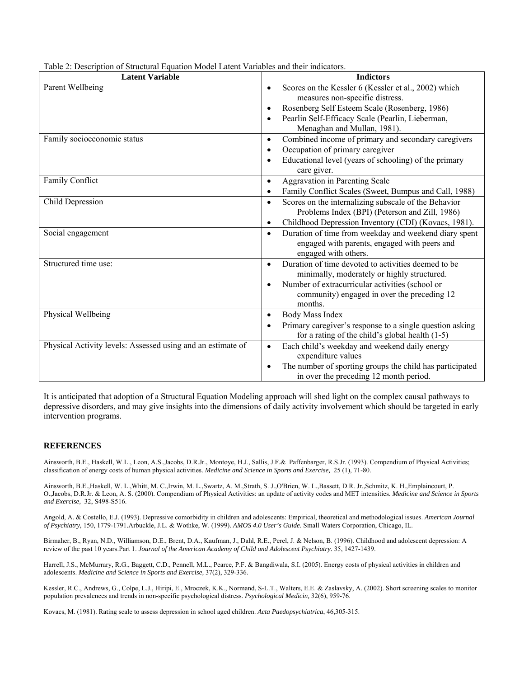| ole 2. Description of Structurul Equation model Eatent + andoles and then marcuto<br><b>Latent Variable</b> | <b>Indictors</b>                                                                                                                           |
|-------------------------------------------------------------------------------------------------------------|--------------------------------------------------------------------------------------------------------------------------------------------|
| Parent Wellbeing                                                                                            | Scores on the Kessler 6 (Kessler et al., 2002) which<br>$\bullet$<br>measures non-specific distress.                                       |
|                                                                                                             | Rosenberg Self Esteem Scale (Rosenberg, 1986)<br>$\bullet$                                                                                 |
|                                                                                                             | Pearlin Self-Efficacy Scale (Pearlin, Lieberman,<br>$\bullet$                                                                              |
|                                                                                                             | Menaghan and Mullan, 1981).                                                                                                                |
| Family socioeconomic status                                                                                 | Combined income of primary and secondary caregivers<br>$\bullet$                                                                           |
|                                                                                                             | Occupation of primary caregiver<br>$\bullet$                                                                                               |
|                                                                                                             | Educational level (years of schooling) of the primary<br>$\bullet$<br>care giver.                                                          |
| Family Conflict                                                                                             | Aggravation in Parenting Scale<br>$\bullet$                                                                                                |
|                                                                                                             | Family Conflict Scales (Sweet, Bumpus and Call, 1988)<br>$\bullet$                                                                         |
| Child Depression                                                                                            | Scores on the internalizing subscale of the Behavior<br>$\bullet$                                                                          |
|                                                                                                             | Problems Index (BPI) (Peterson and Zill, 1986)                                                                                             |
|                                                                                                             | Childhood Depression Inventory (CDI) (Kovacs, 1981).<br>$\bullet$                                                                          |
| Social engagement                                                                                           | Duration of time from weekday and weekend diary spent<br>$\bullet$<br>engaged with parents, engaged with peers and<br>engaged with others. |
| Structured time use:                                                                                        | Duration of time devoted to activities deemed to be<br>$\bullet$<br>minimally, moderately or highly structured.                            |
|                                                                                                             | Number of extracurricular activities (school or<br>$\bullet$                                                                               |
|                                                                                                             | community) engaged in over the preceding 12<br>months.                                                                                     |
| Physical Wellbeing                                                                                          | Body Mass Index<br>$\bullet$                                                                                                               |
|                                                                                                             | Primary caregiver's response to a single question asking<br>$\bullet$                                                                      |
|                                                                                                             | for a rating of the child's global health $(1-5)$                                                                                          |
| Physical Activity levels: Assessed using and an estimate of                                                 | Each child's weekday and weekend daily energy<br>$\bullet$                                                                                 |
|                                                                                                             | expenditure values                                                                                                                         |
|                                                                                                             | The number of sporting groups the child has participated<br>$\bullet$                                                                      |
|                                                                                                             | in over the preceding 12 month period.                                                                                                     |

Table 2: Description of Structural Equation Model Latent Variables and their indicators.

It is anticipated that adoption of a Structural Equation Modeling approach will shed light on the complex causal pathways to depressive disorders, and may give insights into the dimensions of daily activity involvement which should be targeted in early intervention programs.

#### **REFERENCES**

Ainsworth, B.E., Haskell, W.L., Leon, A.S.,Jacobs, D.R.Jr., Montoye, H.J., Sallis, J.F.& Paffenbarger, R.S.Jr. (1993). Compendium of Physical Activities; classification of energy costs of human physical activities. *Medicine and Science in Sports and Exercise,* 25 (1), 71-80.

Ainsworth, B.E.,Haskell, W. L.,Whitt, M. C.,Irwin, M. L.,Swartz, A. M.,Strath, S. J.,O'Brien, W. L.,Bassett, D.R. Jr.,Schmitz, K. H.,Emplaincourt, P. O.,Jacobs, D.R.Jr. & Leon, A. S. (2000). Compendium of Physical Activities: an update of activity codes and MET intensities. *Medicine and Science in Sports and Exercise,* 32, S498-S516.

Angold, A. & Costello, E.J. (1993). Depressive comorbidity in children and adolescents: Empirical, theoretical and methodological issues. *American Journal of Psychiatry,* 150, 1779-1791.Arbuckle, J.L. & Wothke, W. (1999). *AMOS 4.0 User's Guide*. Small Waters Corporation, Chicago, IL.

Birmaher, B., Ryan, N.D., Williamson, D.E., Brent, D.A., Kaufman, J., Dahl, R.E., Perel, J. & Nelson, B. (1996). Childhood and adolescent depression: A review of the past 10 years.Part 1. *Journal of the American Academy of Child and Adolescent Psychiatry.* 35, 1427-1439.

Harrell, J.S., McMurrary, R.G., Baggett, C.D., Pennell, M.L., Pearce, P.F. & Bangdiwala, S.I. (2005). Energy costs of physical activities in children and adolescents. *Medicine and Science in Sports and Exercise,* 37(2), 329-336.

Kessler, R.C., Andrews, G., Colpe, L.J., Hiripi, E., Mroczek, K.K., Normand, S-L.T., Walters, E.E. & Zaslavsky, A. (2002). Short screening scales to monitor population prevalences and trends in non-specific psychological distress. *Psychological Medicin,* 32(6), 959-76.

Kovacs, M. (1981). Rating scale to assess depression in school aged children. *Acta Paedopsychiatrica*, 46,305-315.